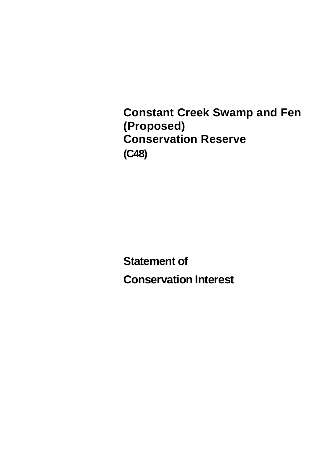**Constant Creek Swamp and Fen (Proposed) Conservation Reserve (C48)**

**Statement of Conservation Interest**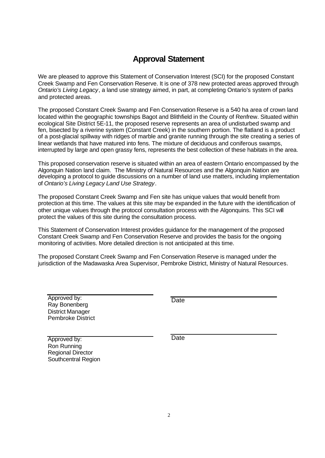# **Approval Statement**

We are pleased to approve this Statement of Conservation Interest (SCI) for the proposed Constant Creek Swamp and Fen Conservation Reserve. It is one of 378 new protected areas approved through *Ontario's Living Legacy*, a land use strategy aimed, in part, at completing Ontario's system of parks and protected areas.

The proposed Constant Creek Swamp and Fen Conservation Reserve is a 540 ha area of crown land located within the geographic townships Bagot and Blithfield in the County of Renfrew. Situated within ecological Site District 5E-11, the proposed reserve represents an area of undisturbed swamp and fen, bisected by a riverine system (Constant Creek) in the southern portion. The flatland is a product of a post-glacial spillway with ridges of marble and granite running through the site creating a series of linear wetlands that have matured into fens. The mixture of deciduous and coniferous swamps, interrupted by large and open grassy fens, represents the best collection of these habitats in the area.

This proposed conservation reserve is situated within an area of eastern Ontario encompassed by the Algonquin Nation land claim. The Ministry of Natural Resources and the Algonquin Nation are developing a protocol to guide discussions on a number of land use matters, including implementation of *Ontario's Living Legacy Land Use Strategy*.

The proposed Constant Creek Swamp and Fen site has unique values that would benefit from protection at this time. The values at this site may be expanded in the future with the identification of other unique values through the protocol consultation process with the Algonquins. This SCI will protect the values of this site during the consultation process.

This Statement of Conservation Interest provides guidance for the management of the proposed Constant Creek Swamp and Fen Conservation Reserve and provides the basis for the ongoing monitoring of activities. More detailed direction is not anticipated at this time.

The proposed Constant Creek Swamp and Fen Conservation Reserve is managed under the jurisdiction of the Madawaska Area Supervisor, Pembroke District, Ministry of Natural Resources.

Approved by: Ray Bonenberg District Manager Pembroke District

**Date** 

Approved by: Ron Running Regional Director Southcentral Region **Date**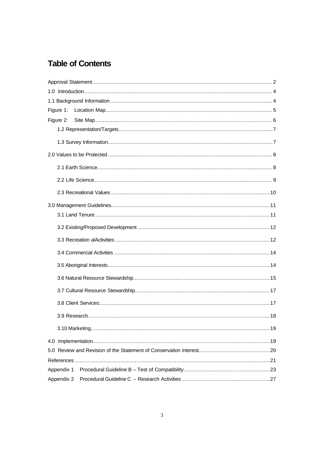# **Table of Contents**

| Figure 1:  |  |
|------------|--|
| Figure 2:  |  |
|            |  |
|            |  |
|            |  |
|            |  |
|            |  |
|            |  |
|            |  |
|            |  |
|            |  |
|            |  |
|            |  |
|            |  |
|            |  |
|            |  |
|            |  |
|            |  |
|            |  |
|            |  |
|            |  |
|            |  |
| Appendix 1 |  |
| Appendix 2 |  |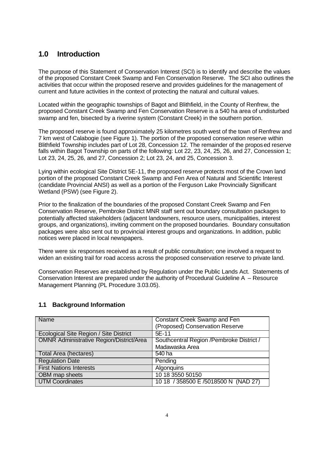# **1.0 Introduction**

The purpose of this Statement of Conservation Interest (SCI) is to identify and describe the values of the proposed Constant Creek Swamp and Fen Conservation Reserve. The SCI also outlines the activities that occur within the proposed reserve and provides guidelines for the management of current and future activities in the context of protecting the natural and cultural values.

Located within the geographic townships of Bagot and Blithfield, in the County of Renfrew, the proposed Constant Creek Swamp and Fen Conservation Reserve is a 540 ha area of undisturbed swamp and fen, bisected by a riverine system (Constant Creek) in the southern portion.

The proposed reserve is found approximately 25 kilometres south west of the town of Renfrew and 7 km west of Calabogie (see Figure 1). The portion of the proposed conservation reserve within Blithfield Township includes part of Lot 28, Concession 12. The remainder of the proposed reserve falls within Bagot Township on parts of the following: Lot 22, 23, 24, 25, 26, and 27, Concession 1; Lot 23, 24, 25, 26, and 27, Concession 2; Lot 23, 24, and 25, Concession 3.

Lying within ecological Site District 5E-11, the proposed reserve protects most of the Crown land portion of the proposed Constant Creek Swamp and Fen Area of Natural and Scientific Interest (candidate Provincial ANSI) as well as a portion of the Ferguson Lake Provincially Significant Wetland (PSW) (see Figure 2).

Prior to the finalization of the boundaries of the proposed Constant Creek Swamp and Fen Conservation Reserve, Pembroke District MNR staff sent out boundary consultation packages to potentially affected stakeholders (adjacent landowners, resource users, municipalities, interest groups, and organizations), inviting comment on the proposed boundaries. Boundary consultation packages were also sent out to provincial interest groups and organizations. In addition, public notices were placed in local newspapers.

There were six responses received as a result of public consultation; one involved a request to widen an existing trail for road access across the proposed conservation reserve to private land.

Conservation Reserves are established by Regulation under the Public Lands Act. Statements of Conservation Interest are prepared under the authority of Procedural Guideline A – Resource Management Planning (PL Procedure 3.03.05).

# **1.1 Background Information**

| Name                                            | <b>Constant Creek Swamp and Fen</b>       |  |  |
|-------------------------------------------------|-------------------------------------------|--|--|
|                                                 | (Proposed) Conservation Reserve           |  |  |
| Ecological Site Region / Site District          | $5E-11$                                   |  |  |
| <b>OMNR Administrative Region/District/Area</b> | Southcentral Region / Pembroke District / |  |  |
|                                                 | Madawaska Area                            |  |  |
| Total Area (hectares)                           | 540 ha                                    |  |  |
| <b>Regulation Date</b>                          | Pending                                   |  |  |
| <b>First Nations Interests</b>                  | Algonquins                                |  |  |
| OBM map sheets                                  | 10 18 3550 50150                          |  |  |
| <b>UTM Coordinates</b>                          | 10 18 / 358500 E /5018500 N (NAD 27)      |  |  |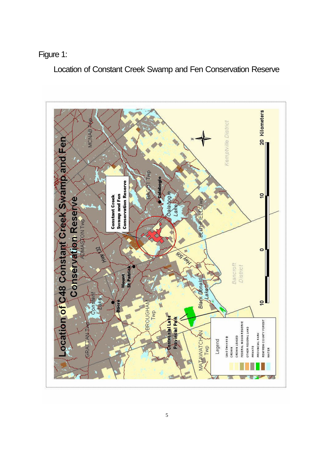# Figure 1:

Location of Constant Creek Swamp and Fen Conservation Reserve

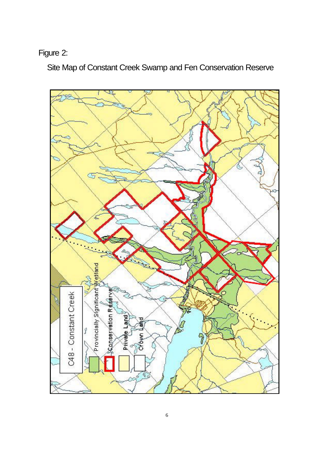# Figure 2:

Site Map of Constant Creek Swamp and Fen Conservation Reserve

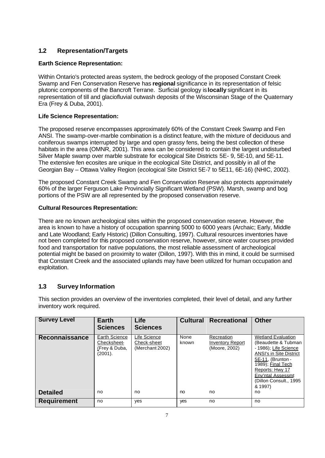# **1.2 Representation/Targets**

### **Earth Science Representation:**

Within Ontario's protected areas system, the bedrock geology of the proposed Constant Creek Swamp and Fen Conservation Reserve has **regional** significance in its representation of felsic plutonic components of the Bancroft Terrane. Surficial geology is **locally** significant in its representation of till and glaciofluvial outwash deposits of the Wisconsinan Stage of the Quaternary Era (Frey & Duba, 2001).

## **Life Science Representation:**

The proposed reserve encompasses approximately 60% of the Constant Creek Swamp and Fen ANSI. The swamp-over-marble combination is a distinct feature, with the mixture of deciduous and coniferous swamps interrupted by large and open grassy fens, being the best collection of these habitats in the area (OMNR, 2001). This area can be considered to contain the largest undisturbed Silver Maple swamp over marble substrate for ecological Site Districts 5E- 9, 5E-10, and 5E-11. The extensive fen ecosites are unique in the ecological Site District, and possibly in all of the Georgian Bay – Ottawa Valley Region (ecological Site District 5E-7 to 5E11, 6E-16) (NHIC, 2002).

The proposed Constant Creek Swamp and Fen Conservation Reserve also protects approximately 60% of the larger Ferguson Lake Provincially Significant Wetland (PSW). Marsh, swamp and bog portions of the PSW are all represented by the proposed conservation reserve.

### **Cultural Resources Representation:**

There are no known archeological sites within the proposed conservation reserve. However, the area is known to have a history of occupation spanning 5000 to 6000 years (Archaic; Early, Middle and Late Woodland; Early Historic) (Dillon Consulting, 1997). Cultural resources inventories have not been completed for this proposed conservation reserve, however, since water courses provided food and transportation for native populations, the most reliable assessment of archeological potential might be based on proximity to water (Dillon, 1997). With this in mind, it could be surmised that Constant Creek and the associated uplands may have been utilized for human occupation and exploitation.

## **1.3 Survey Information**

This section provides an overview of the inventories completed, their level of detail, and any further inventory work required.

| <b>Survey Level</b> | <b>Earth</b><br><b>Sciences</b>                          | <b>Life</b><br><b>Sciences</b>                 |               | <b>Cultural Recreational</b>                           | <b>Other</b>                                                                                                                                                                                                                        |
|---------------------|----------------------------------------------------------|------------------------------------------------|---------------|--------------------------------------------------------|-------------------------------------------------------------------------------------------------------------------------------------------------------------------------------------------------------------------------------------|
| Reconnaissance      | Earth Science<br>Checksheet-<br>(Frey & Duba,<br>(2001). | Life Science<br>Check-sheet<br>(Merchant 2002) | None<br>known | Recreation<br><b>Inventory Report</b><br>(Moore, 2002) | <b>Wetland Evaluation</b><br>(Beaudette & Tubman<br>- 1986); Life Science<br><b>ANSI's in Site District</b><br>5E-11, (Brunton -<br>1989); Final Tech<br>Reports: Hwy 17<br>Env'ntal Assessmt<br>(Dillon Consult., 1995)<br>& 1997) |
| <b>Detailed</b>     | no                                                       | no                                             | no            | no                                                     | no                                                                                                                                                                                                                                  |
| <b>Requirement</b>  | no                                                       | yes                                            | <b>yes</b>    | no                                                     | no                                                                                                                                                                                                                                  |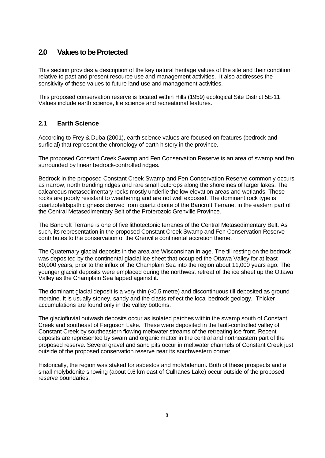# **2.0 Values to be Protected**

This section provides a description of the key natural heritage values of the site and their condition relative to past and present resource use and management activities. It also addresses the sensitivity of these values to future land use and management activities.

This proposed conservation reserve is located within Hills (1959) ecological Site District 5E-11. Values include earth science, life science and recreational features.

# **2.1 Earth Science**

According to Frey & Duba (2001), earth science values are focused on features (bedrock and surficial) that represent the chronology of earth history in the province.

The proposed Constant Creek Swamp and Fen Conservation Reserve is an area of swamp and fen surrounded by linear bedrock-controlled ridges.

Bedrock in the proposed Constant Creek Swamp and Fen Conservation Reserve commonly occurs as narrow, north trending ridges and rare small outcrops along the shorelines of larger lakes. The calcareous metasedimentary rocks mostly underlie the low elevation areas and wetlands. These rocks are poorly resistant to weathering and are not well exposed. The dominant rock type is quartzofeldspathic gneiss derived from quartz diorite of the Bancroft Terrane, in the eastern part of the Central Metasedimentary Belt of the Proterozoic Grenville Province.

The Bancroft Terrane is one of five lithotectonic terranes of the Central Metasedimentary Belt. As such, its representation in the proposed Constant Creek Swamp and Fen Conservation Reserve contributes to the conservation of the Grenville continental accretion theme.

The Quaternary glacial deposits in the area are Wisconsinan in age. The till resting on the bedrock was deposited by the continental glacial ice sheet that occupied the Ottawa Valley for at least 60,000 years, prior to the influx of the Champlain Sea into the region about 11,000 years ago. The younger glacial deposits were emplaced during the northwest retreat of the ice sheet up the Ottawa Valley as the Champlain Sea lapped against it.

The dominant glacial deposit is a very thin (<0.5 metre) and discontinuous till deposited as ground moraine. It is usually stoney, sandy and the clasts reflect the local bedrock geology. Thicker accumulations are found only in the valley bottoms.

The glaciofluvial outwash deposits occur as isolated patches within the swamp south of Constant Creek and southeast of Ferguson Lake. These were deposited in the fault-controlled valley of Constant Creek by southeastern flowing meltwater streams of the retreating ice front. Recent deposits are represented by swam and organic matter in the central and northeastern part of the proposed reserve. Several gravel and sand pits occur in meltwater channels of Constant Creek just outside of the proposed conservation reserve near its southwestern corner.

Historically, the region was staked for asbestos and molybdenum. Both of these prospects and a small molybdenite showing (about 0.6 km east of Culhanes Lake) occur outside of the proposed reserve boundaries.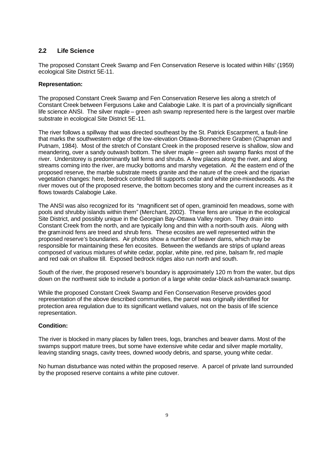# **2.2 Life Science**

The proposed Constant Creek Swamp and Fen Conservation Reserve is located within Hills' (1959) ecological Site District 5E-11.

### **Representation:**

The proposed Constant Creek Swamp and Fen Conservation Reserve lies along a stretch of Constant Creek between Fergusons Lake and Calabogie Lake. It is part of a provincially significant life science ANSI. The silver maple – green ash swamp represented here is the largest over marble substrate in ecological Site District 5E-11.

The river follows a spillway that was directed southeast by the St. Patrick Escarpment, a fault-line that marks the southwestern edge of the low-elevation Ottawa-Bonnechere Graben (Chapman and Putnam, 1984). Most of the stretch of Constant Creek in the proposed reserve is shallow, slow and meandering, over a sandy outwash bottom. The silver maple – green ash swamp flanks most of the river. Understorey is predominantly tall ferns and shrubs. A few places along the river, and along streams coming into the river, are mucky bottoms and marshy vegetation. At the eastern end of the proposed reserve, the marble substrate meets granite and the nature of the creek and the riparian vegetation changes: here, bedrock controlled till supports cedar and white pine-mixedwoods. As the river moves out of the proposed reserve, the bottom becomes stony and the current increases as it flows towards Calabogie Lake.

The ANSI was also recognized for its "magnificent set of open, graminoid fen meadows, some with pools and shrubby islands within them" (Merchant, 2002). These fens are unique in the ecological Site District, and possibly unique in the Georgian Bay-Ottawa Valley region. They drain into Constant Creek from the north, and are typically long and thin with a north-south axis. Along with the graminoid fens are treed and shrub fens. These ecosites are well represented within the proposed reserve's boundaries. Air photos show a number of beaver dams, which may be responsible for maintaining these fen ecosites. Between the wetlands are strips of upland areas composed of various mixtures of white cedar, poplar, white pine, red pine, balsam fir, red maple and red oak on shallow till. Exposed bedrock ridges also run north and south.

South of the river, the proposed reserve's boundary is approximately 120 m from the water, but dips down on the northwest side to include a portion of a large white cedar-black ash-tamarack swamp.

While the proposed Constant Creek Swamp and Fen Conservation Reserve provides good representation of the above described communities, the parcel was originally identified for protection area regulation due to its significant wetland values, not on the basis of life science representation.

## **Condition:**

The river is blocked in many places by fallen trees, logs, branches and beaver dams. Most of the swamps support mature trees, but some have extensive white cedar and silver maple mortality, leaving standing snags, cavity trees, downed woody debris, and sparse, young white cedar.

No human disturbance was noted within the proposed reserve. A parcel of private land surrounded by the proposed reserve contains a white pine cutover.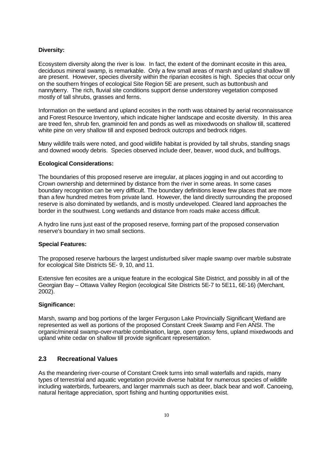#### **Diversity:**

Ecosystem diversity along the river is low. In fact, the extent of the dominant ecosite in this area, deciduous mineral swamp, is remarkable. Only a few small areas of marsh and upland shallow till are present. However, species diversity within the riparian ecosites is high. Species that occur only on the southern fringes of ecological Site Region 5E are present, such as buttonbush and nannyberry. The rich, fluvial site conditions support dense understorey vegetation composed mostly of tall shrubs, grasses and ferns.

Information on the wetland and upland ecosites in the north was obtained by aerial reconnaissance and Forest Resource Inventory, which indicate higher landscape and ecosite diversity. In this area are treed fen, shrub fen, graminoid fen and ponds as well as mixedwoods on shallow till, scattered white pine on very shallow till and exposed bedrock outcrops and bedrock ridges.

Many wildlife trails were noted, and good wildlife habitat is provided by tall shrubs, standing snags and downed woody debris. Species observed include deer, beaver, wood duck, and bullfrogs.

#### **Ecological Considerations:**

The boundaries of this proposed reserve are irregular, at places jogging in and out according to Crown ownership and determined by distance from the river in some areas. In some cases boundary recognition can be very difficult. The boundary definitions leave few places that are more than a few hundred metres from private land. However, the land directly surrounding the proposed reserve is also dominated by wetlands, and is mostly undeveloped. Cleared land approaches the border in the southwest. Long wetlands and distance from roads make access difficult.

A hydro line runs just east of the proposed reserve, forming part of the proposed conservation reserve's boundary in two small sections.

#### **Special Features:**

The proposed reserve harbours the largest undisturbed silver maple swamp over marble substrate for ecological Site Districts 5E- 9, 10, and 11.

Extensive fen ecosites are a unique feature in the ecological Site District, and possibly in all of the Georgian Bay – Ottawa Valley Region (ecological Site Districts 5E-7 to 5E11, 6E-16) (Merchant, 2002).

#### **Significance:**

Marsh, swamp and bog portions of the larger Ferguson Lake Provincially Significant Wetland are represented as well as portions of the proposed Constant Creek Swamp and Fen ANSI. The organic/mineral swamp-over-marble combination, large, open grassy fens, upland mixedwoods and upland white cedar on shallow till provide significant representation.

#### **2.3 Recreational Values**

As the meandering river-course of Constant Creek turns into small waterfalls and rapids, many types of terrestrial and aquatic vegetation provide diverse habitat for numerous species of wildlife including waterbirds, furbearers, and larger mammals such as deer, black bear and wolf. Canoeing, natural heritage appreciation, sport fishing and hunting opportunities exist.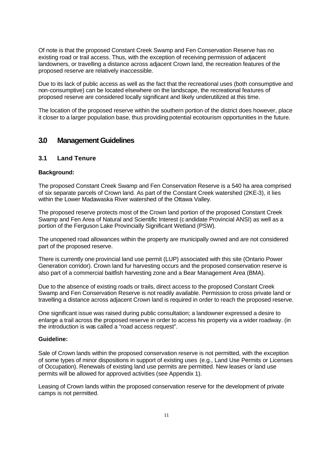Of note is that the proposed Constant Creek Swamp and Fen Conservation Reserve has no existing road or trail access. Thus, with the exception of receiving permission of adjacent landowners, or travelling a distance across adjacent Crown land, the recreation features of the proposed reserve are relatively inaccessible.

Due to its lack of public access as well as the fact that the recreational uses (both consumptive and non-consumptive) can be located elsewhere on the landscape, the recreational features of proposed reserve are considered locally significant and likely underutilized at this time.

The location of the proposed reserve within the southern portion of the district does however, place it closer to a larger population base, thus providing potential ecotourism opportunities in the future.

# **3.0 Management Guidelines**

### **3.1 Land Tenure**

#### **Background:**

The proposed Constant Creek Swamp and Fen Conservation Reserve is a 540 ha area comprised of six separate parcels of Crown land. As part of the Constant Creek watershed (2KE-3), it lies within the Lower Madawaska River watershed of the Ottawa Valley.

The proposed reserve protects most of the Crown land portion of the proposed Constant Creek Swamp and Fen Area of Natural and Scientific Interest (candidate Provincial ANSI) as well as a portion of the Ferguson Lake Provincially Significant Wetland (PSW).

The unopened road allowances within the property are municipally owned and are not considered part of the proposed reserve.

There is currently one provincial land use permit (LUP) associated with this site (Ontario Power Generation corridor). Crown land fur harvesting occurs and the proposed conservation reserve is also part of a commercial baitfish harvesting zone and a Bear Management Area (BMA).

Due to the absence of existing roads or trails, direct access to the proposed Constant Creek Swamp and Fen Conservation Reserve is not readily available. Permission to cross private land or travelling a distance across adjacent Crown land is required in order to reach the proposed reserve.

One significant issue was raised during public consultation; a landowner expressed a desire to enlarge a trail across the proposed reserve in order to access his property via a wider roadway. (in the introduction is was called a "road access request".

#### **Guideline:**

Sale of Crown lands within the proposed conservation reserve is not permitted, with the exception of some types of minor dispositions in support of existing uses (e.g., Land Use Permits or Licenses of Occupation). Renewals of existing land use permits are permitted. New leases or land use permits will be allowed for approved activities (see Appendix 1).

Leasing of Crown lands within the proposed conservation reserve for the development of private camps is not permitted.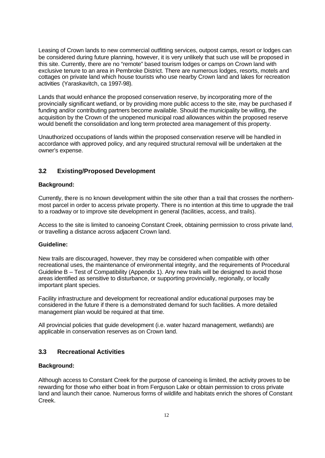Leasing of Crown lands to new commercial outfitting services, outpost camps, resort or lodges can be considered during future planning, however, it is very unlikely that such use will be proposed in this site. Currently, there are no "remote" based tourism lodges or camps on Crown land with exclusive tenure to an area in Pembroke District. There are numerous lodges, resorts, motels and cottages on private land which house tourists who use nearby Crown land and lakes for recreation activities (Yaraskavitch, ca 1997-98).

Lands that would enhance the proposed conservation reserve, by incorporating more of the provincially significant wetland, or by providing more public access to the site, may be purchased if funding and/or contributing partners become available. Should the municipality be willing, the acquisition by the Crown of the unopened municipal road allowances within the proposed reserve would benefit the consolidation and long term protected area management of this property.

Unauthorized occupations of lands within the proposed conservation reserve will be handled in accordance with approved policy, and any required structural removal will be undertaken at the owner's expense.

## **3.2 Existing/Proposed Development**

### **Background:**

Currently, there is no known development within the site other than a trail that crosses the northernmost parcel in order to access private property. There is no intention at this time to upgrade the trail to a roadway or to improve site development in general (facilities, access, and trails).

Access to the site is limited to canoeing Constant Creek, obtaining permission to cross private land, or travelling a distance across adjacent Crown land.

#### **Guideline:**

New trails are discouraged, however, they may be considered when compatible with other recreational uses, the maintenance of environmental integrity, and the requirements of Procedural Guideline B – Test of Compatibility (Appendix 1). Any new trails will be designed to avoid those areas identified as sensitive to disturbance, or supporting provincially, regionally, or locally important plant species.

Facility infrastructure and development for recreational and/or educational purposes may be considered in the future if there is a demonstrated demand for such facilities. A more detailed management plan would be required at that time.

All provincial policies that guide development (i.e. water hazard management, wetlands) are applicable in conservation reserves as on Crown land.

## **3.3 Recreational Activities**

#### **Background:**

Although access to Constant Creek for the purpose of canoeing is limited, the activity proves to be rewarding for those who either boat in from Ferguson Lake or obtain permission to cross private land and launch their canoe. Numerous forms of wildlife and habitats enrich the shores of Constant Creek.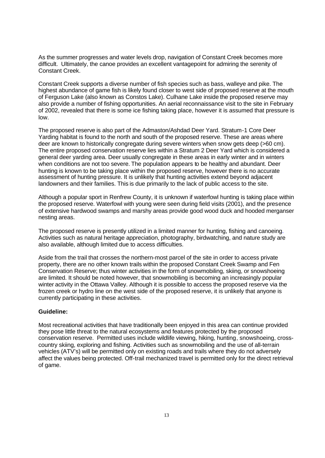As the summer progresses and water levels drop, navigation of Constant Creek becomes more difficult. Ultimately, the canoe provides an excellent vantagepoint for admiring the serenity of Constant Creek.

Constant Creek supports a diverse number of fish species such as bass, walleye and pike. The highest abundance of game fish is likely found closer to west side of proposed reserve at the mouth of Ferguson Lake (also known as Constos Lake). Culhane Lake inside the proposed reserve may also provide a number of fishing opportunities. An aerial reconnaissance visit to the site in February of 2002, revealed that there is some ice fishing taking place, however it is assumed that pressure is low.

The proposed reserve is also part of the Admaston/Ashdad Deer Yard. Stratum-1 Core Deer Yarding habitat is found to the north and south of the proposed reserve. These are areas where deer are known to historically congregate during severe winters when snow gets deep (>60 cm). The entire proposed conservation reserve lies within a Stratum 2 Deer Yard which is considered a general deer yarding area. Deer usually congregate in these areas in early winter and in winters when conditions are not too severe. The population appears to be healthy and abundant. Deer hunting is known to be taking place within the proposed reserve, however there is no accurate assessment of hunting pressure. It is unlikely that hunting activities extend beyond adjacent landowners and their families. This is due primarily to the lack of public access to the site.

Although a popular sport in Renfrew County, it is unknown if waterfowl hunting is taking place within the proposed reserve. Waterfowl with young were seen during field visits (2001), and the presence of extensive hardwood swamps and marshy areas provide good wood duck and hooded merganser nesting areas.

The proposed reserve is presently utilized in a limited manner for hunting, fishing and canoeing. Activities such as natural heritage appreciation, photography, birdwatching, and nature study are also available, although limited due to access difficulties.

Aside from the trail that crosses the northern-most parcel of the site in order to access private property, there are no other known trails within the proposed Constant Creek Swamp and Fen Conservation Reserve; thus winter activities in the form of snowmobiling, skiing, or snowshoeing are limited. It should be noted however, that snowmobiling is becoming an increasingly popular winter activity in the Ottawa Valley. Although it is possible to access the proposed reserve via the frozen creek or hydro line on the west side of the proposed reserve, it is unlikely that anyone is currently participating in these activities.

#### **Guideline:**

Most recreational activities that have traditionally been enjoyed in this area can continue provided they pose little threat to the natural ecosystems and features protected by the proposed conservation reserve. Permitted uses include wildlife viewing, hiking, hunting, snowshoeing, crosscountry skiing, exploring and fishing. Activities such as snowmobiling and the use of all-terrain vehicles (ATV's) will be permitted only on existing roads and trails where they do not adversely affect the values being protected. Off-trail mechanized travel is permitted only for the direct retrieval of game.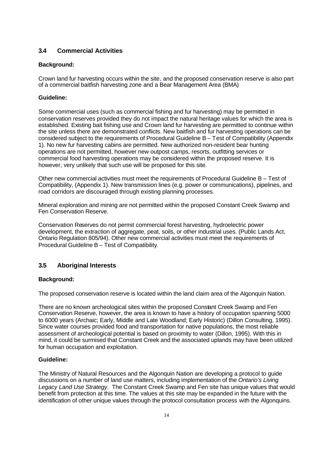# **3.4 Commercial Activities**

#### **Background:**

Crown land fur harvesting occurs within the site, and the proposed conservation reserve is also part of a commercial baitfish harvesting zone and a Bear Management Area (BMA)

### **Guideline:**

Some commercial uses (such as commercial fishing and fur harvesting) may be permitted in conservation reserves provided they do not impact the natural heritage values for which the area is established. Existing bait fishing use and Crown land fur harvesting are permitted to continue within the site unless there are demonstrated conflicts. New baitfish and fur harvesting operations can be considered subject to the requirements of Procedural Guideline B – Test of Compatibility (Appendix 1). No new fur harvesting cabins are permitted. New authorized non-resident bear hunting operations are not permitted, however new outpost camps, resorts, outfitting services or commercial food harvesting operations may be considered within the proposed reserve. It is however, very unlikely that such use will be proposed for this site.

Other new commercial activities must meet the requirements of Procedural Guideline B – Test of Compatibility, (Appendix 1). New transmission lines (e.g. power or communications), pipelines, and road corridors are discouraged through existing planning processes.

Mineral exploration and mining are not permitted within the proposed Constant Creek Swamp and Fen Conservation Reserve.

Conservation Reserves do not permit commercial forest harvesting, hydroelectric power development, the extraction of aggregate, peat, soils, or other industrial uses. (Public Lands Act, Ontario Regulation 805/94). Other new commercial activities must meet the requirements of Procedural Guideline B – Test of Compatibility.

## **3.5 Aboriginal Interests**

## **Background:**

The proposed conservation reserve is located within the land claim area of the Algonquin Nation.

There are no known archeological sites within the proposed Constant Creek Swamp and Fen Conservation Reserve, however, the area is known to have a history of occupation spanning 5000 to 6000 years (Archaic; Early, Middle and Late Woodland; Early Historic) (Dillon Consulting, 1995). Since water courses provided food and transportation for native populations, the most reliable assessment of archeological potential is based on proximity to water (Dillon, 1995). With this in mind, it could be surmised that Constant Creek and the associated uplands may have been utilized for human occupation and exploitation.

#### **Guideline:**

The Ministry of Natural Resources and the Algonquin Nation are developing a protocol to guide discussions on a number of land use matters, including implementation of the *Ontario's Living Legacy Land Use Strategy*. The Constant Creek Swamp and Fen site has unique values that would benefit from protection at this time. The values at this site may be expanded in the future with the identification of other unique values through the protocol consultation process with the Algonquins.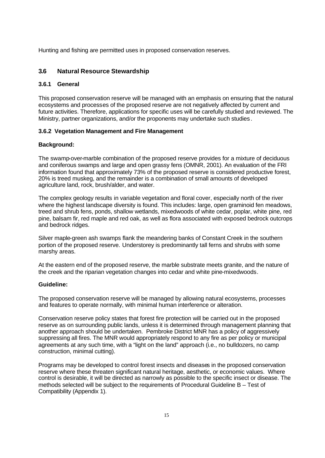Hunting and fishing are permitted uses in proposed conservation reserves.

## **3.6 Natural Resource Stewardship**

#### **3.6.1 General**

This proposed conservation reserve will be managed with an emphasis on ensuring that the natural ecosystems and processes of the proposed reserve are not negatively affected by current and future activities. Therefore, applications for specific uses will be carefully studied and reviewed. The Ministry, partner organizations, and/or the proponents may undertake such studies .

## **3.6.2 Vegetation Management and Fire Management**

### **Background:**

The swamp-over-marble combination of the proposed reserve provides for a mixture of deciduous and coniferous swamps and large and open grassy fens (OMNR, 2001). An evaluation of the FRI information found that approximately 73% of the proposed reserve is considered productive forest, 20% is treed muskeg, and the remainder is a combination of small amounts of developed agriculture land, rock, brush/alder, and water.

The complex geology results in variable vegetation and floral cover, especially north of the river where the highest landscape diversity is found. This includes: large, open graminoid fen meadows, treed and shrub fens, ponds, shallow wetlands, mixedwoods of white cedar, poplar, white pine, red pine, balsam fir, red maple and red oak, as well as flora associated with exposed bedrock outcrops and bedrock ridges.

Silver maple-green ash swamps flank the meandering banks of Constant Creek in the southern portion of the proposed reserve. Understorey is predominantly tall ferns and shrubs with some marshy areas.

At the eastern end of the proposed reserve, the marble substrate meets granite, and the nature of the creek and the riparian vegetation changes into cedar and white pine-mixedwoods.

### **Guideline:**

The proposed conservation reserve will be managed by allowing natural ecosystems, processes and features to operate normally, with minimal human interference or alteration.

Conservation reserve policy states that forest fire protection will be carried out in the proposed reserve as on surrounding public lands, unless it is determined through management planning that another approach should be undertaken. Pembroke District MNR has a policy of aggressively suppressing all fires. The MNR would appropriately respond to any fire as per policy or municipal agreements at any such time, with a "light on the land" approach (i.e., no bulldozers, no camp construction, minimal cutting).

Programs may be developed to control forest insects and diseases in the proposed conservation reserve where these threaten significant natural heritage, aesthetic, or economic values. Where control is desirable, it will be directed as narrowly as possible to the specific insect or disease. The methods selected will be subject to the requirements of Procedural Guideline B – Test of Compatibility (Appendix 1).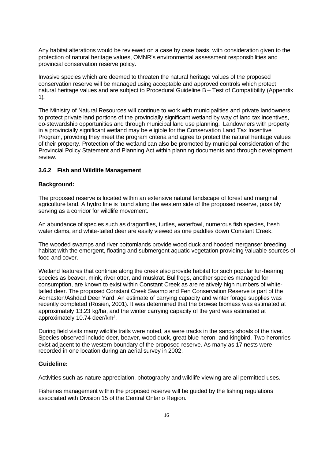Any habitat alterations would be reviewed on a case by case basis, with consideration given to the protection of natural heritage values, OMNR's environmental assessment responsibilities and provincial conservation reserve policy.

Invasive species which are deemed to threaten the natural heritage values of the proposed conservation reserve will be managed using acceptable and approved controls which protect natural heritage values and are subject to Procedural Guideline B – Test of Compatibility (Appendix 1).

The Ministry of Natural Resources will continue to work with municipalities and private landowners to protect private land portions of the provincially significant wetland by way of land tax incentives, co-stewardship opportunities and through municipal land use planning. Landowners with property in a provincially significant wetland may be eligible for the Conservation Land Tax Incentive Program, providing they meet the program criteria and agree to protect the natural heritage values of their property. Protection of the wetland can also be promoted by municipal consideration of the Provincial Policy Statement and Planning Act within planning documents and through development review.

#### **3.6.2 Fish and Wildlife Management**

#### **Background:**

The proposed reserve is located within an extensive natural landscape of forest and marginal agriculture land. A hydro line is found along the western side of the proposed reserve, possibly serving as a corridor for wildlife movement.

An abundance of species such as dragonflies, turtles, waterfowl, numerous fish species, fresh water clams, and white-tailed deer are easily viewed as one paddles down Constant Creek.

The wooded swamps and river bottomlands provide wood duck and hooded merganser breeding habitat with the emergent, floating and submergent aquatic vegetation providing valuable sources of food and cover.

Wetland features that continue along the creek also provide habitat for such popular fur-bearing species as beaver, mink, river otter, and muskrat. Bullfrogs, another species managed for consumption, are known to exist within Constant Creek as are relatively high numbers of whitetailed deer. The proposed Constant Creek Swamp and Fen Conservation Reserve is part of the Admaston/Ashdad Deer Yard. An estimate of carrying capacity and winter forage supplies was recently completed (Rosien, 2001). It was determined that the browse biomass was estimated at approximately 13.23 kg/ha, and the winter carrying capacity of the yard was estimated at approximately 10.74 deer/km².

During field visits many wildlife trails were noted, as were tracks in the sandy shoals of the river. Species observed include deer, beaver, wood duck, great blue heron, and kingbird. Two heronries exist adjacent to the western boundary of the proposed reserve. As many as 17 nests were recorded in one location during an aerial survey in 2002.

#### **Guideline:**

Activities such as nature appreciation, photography and wildlife viewing are all permitted uses.

Fisheries management within the proposed reserve will be guided by the fishing regulations associated with Division 15 of the Central Ontario Region.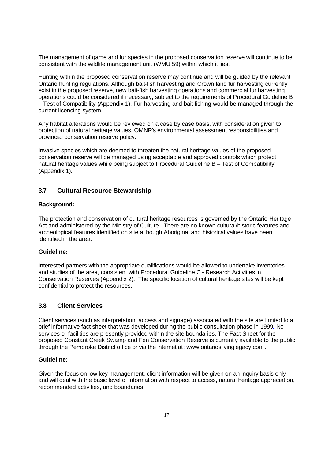The management of game and fur species in the proposed conservation reserve will continue to be consistent with the wildlife management unit (WMU 59) within which it lies.

Hunting within the proposed conservation reserve may continue and will be guided by the relevant Ontario hunting regulations. Although bait-fish harvesting and Crown land fur harvesting currently exist in the proposed reserve, new bait-fish harvesting operations and commercial fur harvesting operations could be considered if necessary, subject to the requirements of Procedural Guideline B – Test of Compatibility (Appendix 1). Fur harvesting and bait-fishing would be managed through the current licencing system.

Any habitat alterations would be reviewed on a case by case basis, with consideration given to protection of natural heritage values, OMNR's environmental assessment responsibilities and provincial conservation reserve policy.

Invasive species which are deemed to threaten the natural heritage values of the proposed conservation reserve will be managed using acceptable and approved controls which protect natural heritage values while being subject to Procedural Guideline B – Test of Compatibility (Appendix 1).

#### **3.7 Cultural Resource Stewardship**

#### **Background:**

The protection and conservation of cultural heritage resources is governed by the Ontario Heritage Act and administered by the Ministry of Culture. There are no known cultural/historic features and archeological features identified on site although Aboriginal and historical values have been identified in the area.

#### **Guideline:**

Interested partners with the appropriate qualifications would be allowed to undertake inventories and studies of the area, consistent with Procedural Guideline C - Research Activities in Conservation Reserves (Appendix 2). The specific location of cultural heritage sites will be kept confidential to protect the resources.

#### **3.8 Client Services**

Client services (such as interpretation, access and signage) associated with the site are limited to a brief informative fact sheet that was developed during the public consultation phase in 1999. No services or facilities are presently provided within the site boundaries. The Fact Sheet for the proposed Constant Creek Swamp and Fen Conservation Reserve is currently available to the public through the Pembroke District office or via the internet at: www.ontarioslivinglegacy.com.

#### **Guideline:**

Given the focus on low key management, client information will be given on an inquiry basis only and will deal with the basic level of information with respect to access, natural heritage appreciation, recommended activities, and boundaries.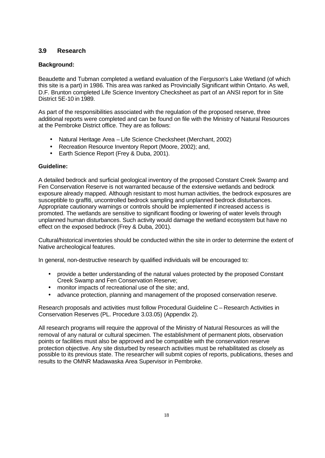# **3.9 Research**

### **Background:**

Beaudette and Tubman completed a wetland evaluation of the Ferguson's Lake Wetland (of which this site is a part) in 1986. This area was ranked as Provincially Significant within Ontario. As well, D.F. Brunton completed Life Science Inventory Checksheet as part of an ANSI report for in Site District 5E-10 in 1989.

As part of the responsibilities associated with the regulation of the proposed reserve, three additional reports were completed and can be found on file with the Ministry of Natural Resources at the Pembroke District office. They are as follows:

- Natural Heritage Area Life Science Checksheet (Merchant, 2002)
- Recreation Resource Inventory Report (Moore, 2002); and,
- Earth Science Report (Frey & Duba, 2001).

### **Guideline:**

A detailed bedrock and surficial geological inventory of the proposed Constant Creek Swamp and Fen Conservation Reserve is not warranted because of the extensive wetlands and bedrock exposure already mapped. Although resistant to most human activities, the bedrock exposures are susceptible to graffiti, uncontrolled bedrock sampling and unplanned bedrock disturbances. Appropriate cautionary warnings or controls should be implemented if increased access is promoted. The wetlands are sensitive to significant flooding or lowering of water levels through unplanned human disturbances. Such activity would damage the wetland ecosystem but have no effect on the exposed bedrock (Frey & Duba, 2001).

Cultural/historical inventories should be conducted within the site in order to determine the extent of Native archeological features.

In general, non-destructive research by qualified individuals will be encouraged to:

- provide a better understanding of the natural values protected by the proposed Constant Creek Swamp and Fen Conservation Reserve;
- monitor impacts of recreational use of the site; and,
- advance protection, planning and management of the proposed conservation reserve.

Research proposals and activities must follow Procedural Guideline C – Research Activities in Conservation Reserves (PL. Procedure 3.03.05) (Appendix 2).

All research programs will require the approval of the Ministry of Natural Resources as will the removal of any natural or cultural specimen. The establishment of permanent plots, observation points or facilities must also be approved and be compatible with the conservation reserve protection objective. Any site disturbed by research activities must be rehabilitated as closely as possible to its previous state. The researcher will submit copies of reports, publications, theses and results to the OMNR Madawaska Area Supervisor in Pembroke.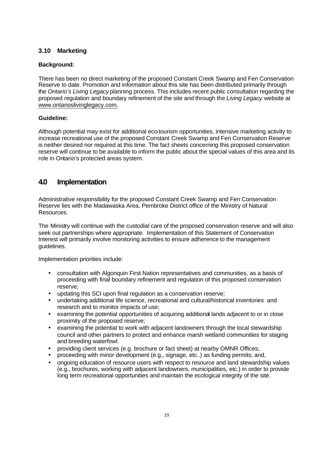# **3.10 Marketing**

### **Background:**

There has been no direct marketing of the proposed Constant Creek Swamp and Fen Conservation Reserve to date. Promotion and information about this site has been distributed primarily through the *Ontario's Living Legacy* planning process. This includes recent public consultation regarding the proposed regulation and boundary refinement of the site and through the *Living Legacy* website at www.ontarioslivinglegacy.com.

### **Guideline:**

Although potential may exist for additional eco-tourism opportunities, intensive marketing activity to increase recreational use of the proposed Constant Creek Swamp and Fen Conservation Reserve is neither desired nor required at this time. The fact sheets concerning this proposed conservation reserve will continue to be available to inform the public about the special values of this area and its role in Ontario's protected areas system.

# **4.0 Implementation**

Administrative responsibility for the proposed Constant Creek Swamp and Fen Conservation Reserve lies with the Madawaska Area, Pembroke District office of the Ministry of Natural Resources.

The Ministry will continue with the custodial care of the proposed conservation reserve and will also seek out partnerships where appropriate. Implementation of this Statement of Conservation Interest will primarily involve monitoring activities to ensure adherence to the management guidelines.

Implementation priorities include:

- consultation with Algonquin First Nation representatives and communities, as a basis of proceeding with final boundary refinement and regulation of this proposed conservation reserve;
- updating this SCI upon final regulation as a conservation reserve;
- undertaking additional life science, recreational and cultural/historical inventories and research and to monitor impacts of use;
- examining the potential opportunities of acquiring additional lands adjacent to or in close proximity of the proposed reserve;
- examining the potential to work with adjacent landowners through the local stewardship council and other partners to protect and enhance marsh wetland communities for staging and breeding waterfowl.
- providing client services (e.g. brochure or fact sheet) at nearby OMNR Offices;
- proceeding with minor development (e.g., signage, etc..) as funding permits; and,
- ongoing education of resource users with respect to resource and land stewardship values (e.g., brochures, working with adjacent landowners, municipalities, etc.) in order to provide long term recreational opportunities and maintain the ecological integrity of the site.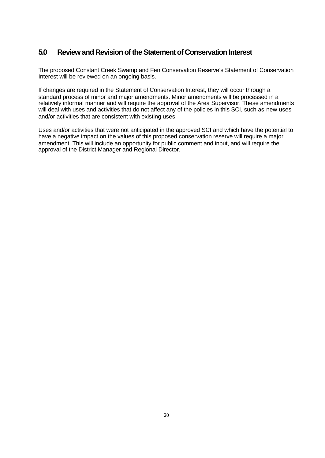# **5.0 Review and Revision of the Statement of Conservation Interest**

The proposed Constant Creek Swamp and Fen Conservation Reserve's Statement of Conservation Interest will be reviewed on an ongoing basis.

If changes are required in the Statement of Conservation Interest, they will occur through a standard process of minor and major amendments. Minor amendments will be processed in a relatively informal manner and will require the approval of the Area Supervisor. These amendments will deal with uses and activities that do not affect any of the policies in this SCI, such as new uses and/or activities that are consistent with existing uses.

Uses and/or activities that were not anticipated in the approved SCI and which have the potential to have a negative impact on the values of this proposed conservation reserve will require a major amendment. This will include an opportunity for public comment and input, and will require the approval of the District Manager and Regional Director.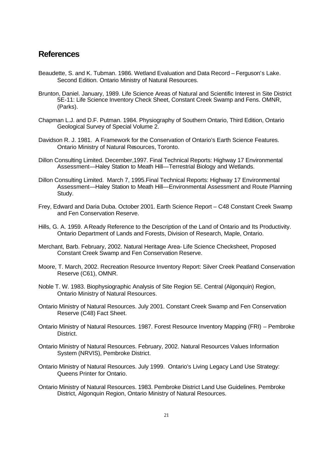# **References**

- Beaudette, S. and K. Tubman. 1986. Wetland Evaluation and Data Record Ferguson's Lake. Second Edition. Ontario Ministry of Natural Resources.
- Brunton, Daniel. January, 1989. Life Science Areas of Natural and Scientific Interest in Site District 5E-11: Life Science Inventory Check Sheet, Constant Creek Swamp and Fens. OMNR, (Parks).
- Chapman L.J. and D.F. Putman. 1984. Physiography of Southern Ontario, Third Edition, Ontario Geological Survey of Special Volume 2.
- Davidson R. J. 1981. A Framework for the Conservation of Ontario's Earth Science Features. Ontario Ministry of Natural Resources, Toronto.
- Dillon Consulting Limited. December,1997. Final Technical Reports: Highway 17 Environmental Assessment—Haley Station to Meath Hill—Terrestrial Biology and Wetlands.
- Dillon Consulting Limited. March 7, 1995.Final Technical Reports: Highway 17 Environmental Assessment—Haley Station to Meath Hill—Environmental Assessment and Route Planning Study.
- Frey, Edward and Daria Duba. October 2001. Earth Science Report C48 Constant Creek Swamp and Fen Conservation Reserve.
- Hills, G. A. 1959. A Ready Reference to the Description of the Land of Ontario and Its Productivity. Ontario Department of Lands and Forests, Division of Research, Maple, Ontario.
- Merchant, Barb. February, 2002. Natural Heritage Area- Life Science Checksheet, Proposed Constant Creek Swamp and Fen Conservation Reserve.
- Moore, T. March, 2002. Recreation Resource Inventory Report: Silver Creek Peatland Conservation Reserve (C61), OMNR.
- Noble T. W. 1983. Biophysiographic Analysis of Site Region 5E. Central (Algonquin) Region, Ontario Ministry of Natural Resources.
- Ontario Ministry of Natural Resources. July 2001. Constant Creek Swamp and Fen Conservation Reserve (C48) Fact Sheet.
- Ontario Ministry of Natural Resources. 1987. Forest Resource Inventory Mapping (FRI) Pembroke District.
- Ontario Ministry of Natural Resources. February, 2002. Natural Resources Values Information System (NRVIS), Pembroke District.
- Ontario Ministry of Natural Resources. July 1999. Ontario's Living Legacy Land Use Strategy: Queens Printer for Ontario.
- Ontario Ministry of Natural Resources. 1983. Pembroke District Land Use Guidelines. Pembroke District, Algonquin Region, Ontario Ministry of Natural Resources.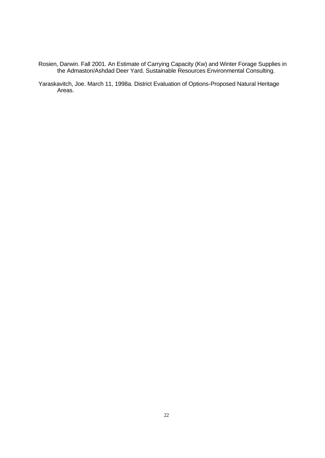- Rosien, Darwin. Fall 2001. An Estimate of Carrying Capacity (Kw) and Winter Forage Supplies in the Admaston/Ashdad Deer Yard. Sustainable Resources Environmental Consulting.
- Yaraskavitch, Joe. March 11, 1998a. District Evaluation of Options-Proposed Natural Heritage Areas.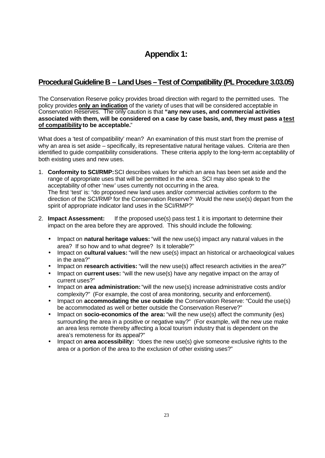# **Appendix 1:**

# **Procedural Guideline B – Land Uses – Test of Compatibility (PL Procedure 3.03.05)**

The Conservation Reserve policy provides broad direction with regard to the permitted uses. The policy provides **only an indication** of the variety of uses that will be considered acceptable in Conservation Reserves. The only caution is that **"any new uses, and commercial activities associated with them, will be considered on a case by case basis, and, they must pass a test of compatibility to be acceptable.**"

What does a 'test of compatibility' mean? An examination of this must start from the premise of why an area is set aside – specifically, its representative natural heritage values. Criteria are then identified to guide compatibility considerations. These criteria apply to the long-term acceptability of both existing uses and new uses.

- 1. **Conformity to SCI/RMP:**SCI describes values for which an area has been set aside and the range of appropriate uses that will be permitted in the area. SCI may also speak to the acceptability of other 'new' uses currently not occurring in the area. The first 'test' is: "do proposed new land uses and/or commercial activities conform to the direction of the SCI/RMP for the Conservation Reserve? Would the new use(s) depart from the spirit of appropriate indicator land uses in the SCI/RMP?"
- 2. **Impact Assessment:** If the proposed use(s) pass test 1 it is important to determine their impact on the area before they are approved. This should include the following:
	- Impact on **natural heritage values:** "will the new use(s) impact any natural values in the area? If so how and to what degree? Is it tolerable?"
	- Impact on **cultural values:** "will the new use(s) impact an historical or archaeological values in the area?"
	- Impact on **research activities:** "will the new use(s) affect research activities in the area?"
	- Impact on **current uses:** "will the new use(s) have any negative impact on the array of current uses?"
	- Impact on **area administration:** "will the new use(s) increase administrative costs and/or complexity?" (For example, the cost of area monitoring, security and enforcement).
	- Impact on **accommodating the use outside** the Conservation Reserve: "Could the use(s) be accommodated as well or better outside the Conservation Reserve?"
	- Impact on **socio-economics of the area:** "will the new use(s) affect the community (ies) surrounding the area in a positive or negative way?" (For example, will the new use make an area less remote thereby affecting a local tourism industry that is dependent on the area's remoteness for its appeal?"
	- Impact on **area accessibility:** "does the new use(s) give someone exclusive rights to the area or a portion of the area to the exclusion of other existing uses?"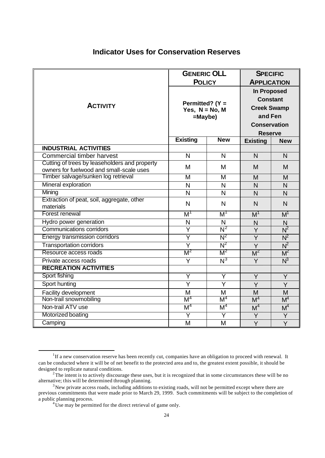# **Indicator Uses for Conservation Reserves**

|                                                                                           | <b>GENERIC OLL</b><br><b>POLICY</b>                   |                  | <b>SPECIFIC</b><br><b>APPLICATION</b>                                                                           |                |
|-------------------------------------------------------------------------------------------|-------------------------------------------------------|------------------|-----------------------------------------------------------------------------------------------------------------|----------------|
| <b>ACTIVITY</b>                                                                           | Permitted? ( $Y =$<br>Yes, $N = No$ , M<br>$=$ Maybe) |                  | <b>In Proposed</b><br><b>Constant</b><br><b>Creek Swamp</b><br>and Fen<br><b>Conservation</b><br><b>Reserve</b> |                |
|                                                                                           | <b>Existing</b>                                       | <b>New</b>       | <b>Existing</b>                                                                                                 | <b>New</b>     |
| <b>INDUSTRIAL ACTIVITIES</b>                                                              |                                                       |                  |                                                                                                                 |                |
| Commercial timber harvest                                                                 | N                                                     | N                | N                                                                                                               | N              |
| Cutting of trees by leaseholders and property<br>owners for fuelwood and small-scale uses | M                                                     | M                | M                                                                                                               | M              |
| Timber salvage/sunken log retrieval                                                       | M                                                     | M                | M                                                                                                               | M              |
| Mineral exploration                                                                       | N                                                     | N                | $\mathsf{N}$                                                                                                    | N <sub>1</sub> |
| Mining                                                                                    | N                                                     | $\mathsf{N}$     | $\mathsf{N}$                                                                                                    | $\overline{N}$ |
| Extraction of peat, soil, aggregate, other<br>materials                                   | $\mathsf{N}$                                          | $\overline{N}$   | N                                                                                                               | $\overline{N}$ |
| Forest renewal                                                                            | $M^1$                                                 | $M^1$            | M <sup>1</sup>                                                                                                  | $M^1$          |
| Hydro power generation                                                                    | N                                                     | $\mathsf{N}$     | N                                                                                                               | $\mathsf{N}$   |
| <b>Communications corridors</b>                                                           | Y                                                     | $N^2$            | Y                                                                                                               | $N^2$          |
| Energy transmission corridors                                                             | Ÿ                                                     | $N^2$            | $\overline{Y}$                                                                                                  | $N^2$          |
| <b>Transportation corridors</b>                                                           | $\overline{Y}$                                        | $N^2$            | Y                                                                                                               | $N^2$          |
| Resource access roads                                                                     | $M^2$                                                 | $M^2$            | M <sup>2</sup>                                                                                                  | $M^2$          |
| Private access roads                                                                      | Y                                                     | $\overline{N^3}$ | Y                                                                                                               | $N^3$          |
| <b>RECREATION ACTIVITIES</b>                                                              |                                                       |                  |                                                                                                                 |                |
| Sport fishing                                                                             | Y                                                     | Y                | Y                                                                                                               | Y              |
| Sport hunting                                                                             | $\overline{Y}$                                        | $\overline{Y}$   | Y                                                                                                               | Y              |
| Facility development                                                                      | M                                                     | M                | M                                                                                                               | M              |
| Non-trail snowmobiling                                                                    | M <sup>4</sup>                                        | M <sup>4</sup>   | M <sup>4</sup>                                                                                                  | M <sup>4</sup> |
| Non-trail ATV use                                                                         | M <sup>4</sup>                                        | M <sup>4</sup>   | M <sup>4</sup>                                                                                                  | M <sup>4</sup> |
| Motorized boating                                                                         | Y                                                     | Ÿ                | Y                                                                                                               | Y              |
| Camping                                                                                   | M                                                     | M                | $\overline{Y}$                                                                                                  | $\overline{Y}$ |

<sup>&</sup>lt;sup>1</sup>If a new conservation reserve has been recently cut, companies have an obligation to proceed with renewal. It can be conducted where it will be of net benefit to the protected area and to, the greatest extent possible, it should be designed to replicate natural conditions.

 $2^2$ The intent is to actively discourage these uses, but it is recognized that in some circumstances these will be no alternative; this will be determined through planning.

<sup>&</sup>lt;sup>3</sup>New private access roads, including additions to existing roads, will not be permitted except where there are previous commitments that were made prior to March 29, 1999. Such commitments will be subject to the completion of a public planning process.

<sup>&</sup>lt;sup>4</sup>Use may be permitted for the direct retrieval of game only.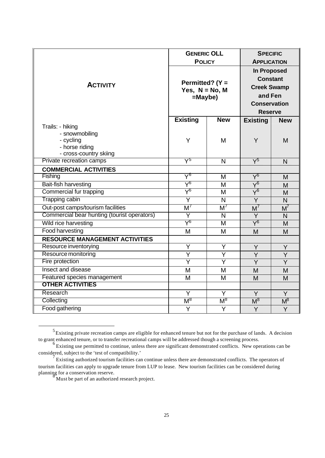|                                                                                             | <b>GENERIC OLL</b><br><b>POLICY</b>                   |                     | <b>SPECIFIC</b><br><b>APPLICATION</b>                                                                    |                |
|---------------------------------------------------------------------------------------------|-------------------------------------------------------|---------------------|----------------------------------------------------------------------------------------------------------|----------------|
| <b>ACTIVITY</b>                                                                             | Permitted? ( $Y =$<br>Yes, $N = No$ , M<br>$=$ Maybe) |                     | In Proposed<br><b>Constant</b><br><b>Creek Swamp</b><br>and Fen<br><b>Conservation</b><br><b>Reserve</b> |                |
|                                                                                             | <b>Existing</b>                                       | <b>New</b>          | <b>Existing</b>                                                                                          | <b>New</b>     |
| Trails: - hiking<br>- snowmobiling<br>- cycling<br>- horse riding<br>- cross-country skiing | Y                                                     | M                   | Y                                                                                                        | M              |
| Private recreation camps                                                                    | $\rm V^5$                                             | $\mathsf{N}$        | $\sqrt{5}$                                                                                               | $\mathsf{N}$   |
| <b>COMMERCIAL ACTIVITIES</b>                                                                |                                                       |                     |                                                                                                          |                |
| Fishing                                                                                     | $\Delta_{\rho}$                                       | M                   | $\sqrt{6}$                                                                                               | M              |
| Bait-fish harvesting                                                                        | $\lambda_{\rm \varrho}$                               | M                   | $\rm \overline{Y^6}$                                                                                     | M              |
| Commercial fur trapping                                                                     | $\rm \Delta_{Q}$                                      | M                   | $\overline{Y^6}$                                                                                         | M              |
| Trapping cabin                                                                              | Ÿ                                                     | N                   | $\overline{Y}$                                                                                           | N              |
| Out-post camps/tourism facilities                                                           | $M^7$                                                 | M <sup>7</sup>      | $M^7$                                                                                                    | $M^7$          |
| Commercial bear hunting (tourist operators)                                                 | Ÿ                                                     | N                   | Y                                                                                                        | $\mathsf{N}$   |
| Wild rice harvesting                                                                        | $\lambda_{\rm Q}$                                     | M                   | $\overline{Y^6}$                                                                                         | M              |
| <b>Food harvesting</b>                                                                      | M                                                     | M                   | M                                                                                                        | M              |
| <b>RESOURCE MANAGEMENT ACTIVITIES</b>                                                       |                                                       |                     |                                                                                                          |                |
| Resource inventorying                                                                       | Y                                                     | Y                   | Y                                                                                                        | Y              |
| Resource monitoring<br>Fire protection                                                      | Y<br>Ÿ                                                | $\overline{Y}$<br>Ÿ | Y                                                                                                        | Y              |
| Insect and disease                                                                          |                                                       |                     | Y                                                                                                        | $\overline{Y}$ |
| Featured species management                                                                 | M                                                     | M                   | M                                                                                                        | M              |
| <b>OTHER ACTIVITIES</b>                                                                     | M                                                     | M                   | M                                                                                                        | M              |
| Research                                                                                    | $\overline{Y}$                                        | $\overline{Y}$      | Y                                                                                                        | Y              |
| Collecting                                                                                  | $\mathsf{M}^8$                                        | $\mathsf{M}^8$      | M <sup>8</sup>                                                                                           | $M^8$          |
| Food gathering                                                                              | Y                                                     | Y                   | Y                                                                                                        | Y              |
|                                                                                             |                                                       |                     |                                                                                                          |                |

 $<sup>5</sup>$  Existing private recreation camps are eligible for enhanced tenure but not for the purchase of lands. A decision</sup> to grant enhanced tenure, or to transfer recreational camps will be addressed though a screening process.<br><sup>6</sup> Existing use permitted to continue, unless there are significant demonstrated conflicts. New operations can be

l

considered, subject to the 'test of compatibility.'

<sup>&</sup>lt;sup>7</sup> Existing authorized tourism facilities can continue unless there are demonstrated conflicts. The operators of tourism facilities can apply to upgrade tenure from LUP to lease. New tourism facilities can be considered during planning for a conservation reserve. <sup>8</sup> Must be part of an authorized research project.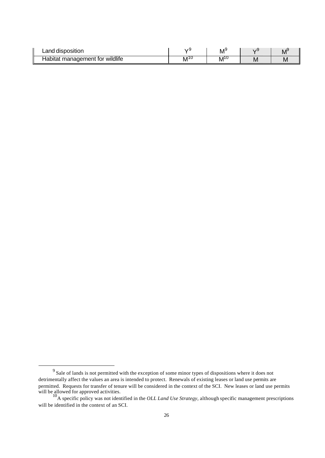| Land<br>! disposition                 |          | $M_{\lambda}$ |   | <b>IV</b> |
|---------------------------------------|----------|---------------|---|-----------|
| wildlife<br>management for<br>Habitat | 1 U<br>M | $M^{10}$      | M | <b>IV</b> |

 $9<sup>9</sup>$  Sale of lands is not permitted with the exception of some minor types of dispositions where it does not detrimentally affect the values an area is intended to protect. Renewals of existing leases or land use permits are permitted. Requests for transfer of tenure will be considered in the context of the SCI. New leases or land use permits will be allowed for approved activities.<br><sup>10</sup>A specific policy was not identified in the *OLL Land Use Strategy*, although specific management prescriptions

will be identified in the context of an SCI.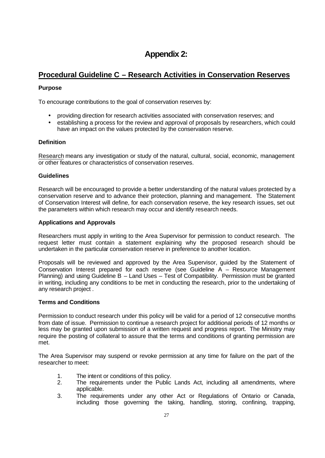# **Appendix 2:**

# **Procedural Guideline C – Research Activities in Conservation Reserves**

## **Purpose**

To encourage contributions to the goal of conservation reserves by:

- providing direction for research activities associated with conservation reserves; and
- establishing a process for the review and approval of proposals by researchers, which could have an impact on the values protected by the conservation reserve.

### **Definition**

Research means any investigation or study of the natural, cultural, social, economic, management or other features or characteristics of conservation reserves.

### **Guidelines**

Research will be encouraged to provide a better understanding of the natural values protected by a conservation reserve and to advance their protection, planning and management. The Statement of Conservation Interest will define, for each conservation reserve, the key research issues, set out the parameters within which research may occur and identify research needs.

### **Applications and Approvals**

Researchers must apply in writing to the Area Supervisor for permission to conduct research. The request letter must contain a statement explaining why the proposed research should be undertaken in the particular conservation reserve in preference to another location.

Proposals will be reviewed and approved by the Area Supervisor, guided by the Statement of Conservation Interest prepared for each reserve (see Guideline A – Resource Management Planning) and using Guideline B – Land Uses – Test of Compatibility. Permission must be granted in writing, including any conditions to be met in conducting the research, prior to the undertaking of any research project .

#### **Terms and Conditions**

Permission to conduct research under this policy will be valid for a period of 12 consecutive months from date of issue. Permission to continue a research project for additional periods of 12 months or less may be granted upon submission of a written request and progress report. The Ministry may require the posting of collateral to assure that the terms and conditions of granting permission are met.

The Area Supervisor may suspend or revoke permission at any time for failure on the part of the researcher to meet:

- 1. The intent or conditions of this policy.
- 2. The requirements under the Public Lands Act, including all amendments, where applicable.
- 3. The requirements under any other Act or Regulations of Ontario or Canada, including those governing the taking, handling, storing, confining, trapping,